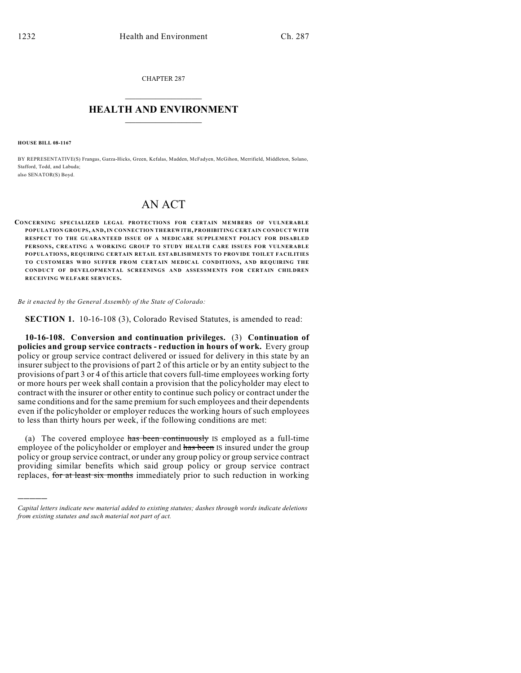CHAPTER 287  $\overline{\phantom{a}}$  . The set of the set of the set of the set of the set of the set of the set of the set of the set of the set of the set of the set of the set of the set of the set of the set of the set of the set of the set o

## **HEALTH AND ENVIRONMENT**  $\_$

**HOUSE BILL 08-1167**

)))))

BY REPRESENTATIVE(S) Frangas, Garza-Hicks, Green, Kefalas, Madden, McFadyen, McGihon, Merrifield, Middleton, Solano, Stafford, Todd, and Labuda; also SENATOR(S) Boyd.

## AN ACT

**CONCERNING SPECIALIZED LEGAL PROTECTIONS FOR CERTAIN MEMBERS OF VULNERABLE POPULATION GROUPS, AND, IN CONNECTION THEREWITH, PROHIBITING CERTAIN CONDUCT WITH RESPECT TO THE GUARANTEED ISSUE OF A MEDICARE SUPPLEMENT POLICY FOR DISABLED PERSONS, CREATING A WORKING GROUP TO STUDY HEALTH CARE ISSUES FOR VULNERABLE POPULATIONS, REQUIRING CERTAIN RETAIL ESTABLISHMENTS TO PROVIDE TOILET FACILITIES TO CUSTOMERS WHO SUFFER FROM CERTAIN MEDICAL CONDITIONS, AND REQUIRING THE CONDUCT OF DEVELOPMENTAL SCREENINGS AND ASSESSMENTS FOR CERTAIN CHILDREN RECEIVING WELFARE SERVICES.**

*Be it enacted by the General Assembly of the State of Colorado:*

**SECTION 1.** 10-16-108 (3), Colorado Revised Statutes, is amended to read:

**10-16-108. Conversion and continuation privileges.** (3) **Continuation of policies and group service contracts - reduction in hours of work.** Every group policy or group service contract delivered or issued for delivery in this state by an insurer subject to the provisions of part 2 of this article or by an entity subject to the provisions of part 3 or 4 of this article that covers full-time employees working forty or more hours per week shall contain a provision that the policyholder may elect to contract with the insurer or other entity to continue such policy or contract under the same conditions and for the same premium for such employees and their dependents even if the policyholder or employer reduces the working hours of such employees to less than thirty hours per week, if the following conditions are met:

(a) The covered employee has been continuously IS employed as a full-time employee of the policyholder or employer and has been IS insured under the group policy or group service contract, or under any group policy or group service contract providing similar benefits which said group policy or group service contract replaces, for at least six months immediately prior to such reduction in working

*Capital letters indicate new material added to existing statutes; dashes through words indicate deletions from existing statutes and such material not part of act.*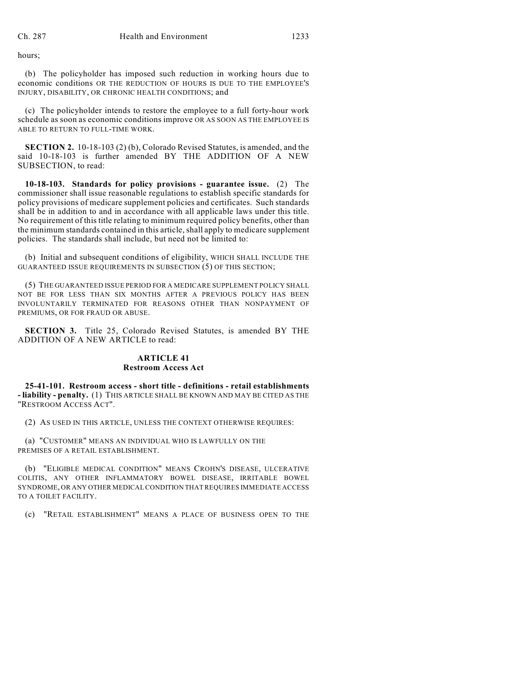hours;

(b) The policyholder has imposed such reduction in working hours due to economic conditions OR THE REDUCTION OF HOURS IS DUE TO THE EMPLOYEE'S INJURY, DISABILITY, OR CHRONIC HEALTH CONDITIONS; and

(c) The policyholder intends to restore the employee to a full forty-hour work schedule as soon as economic conditions improve OR AS SOON AS THE EMPLOYEE IS ABLE TO RETURN TO FULL-TIME WORK.

**SECTION 2.** 10-18-103 (2) (b), Colorado Revised Statutes, is amended, and the said 10-18-103 is further amended BY THE ADDITION OF A NEW SUBSECTION, to read:

**10-18-103. Standards for policy provisions - guarantee issue.** (2) The commissioner shall issue reasonable regulations to establish specific standards for policy provisions of medicare supplement policies and certificates. Such standards shall be in addition to and in accordance with all applicable laws under this title. No requirement of this title relating to minimum required policy benefits, other than the minimum standards contained in this article, shall apply to medicare supplement policies. The standards shall include, but need not be limited to:

(b) Initial and subsequent conditions of eligibility, WHICH SHALL INCLUDE THE GUARANTEED ISSUE REQUIREMENTS IN SUBSECTION (5) OF THIS SECTION;

(5) THE GUARANTEED ISSUE PERIOD FOR A MEDICARE SUPPLEMENT POLICY SHALL NOT BE FOR LESS THAN SIX MONTHS AFTER A PREVIOUS POLICY HAS BEEN INVOLUNTARILY TERMINATED FOR REASONS OTHER THAN NONPAYMENT OF PREMIUMS, OR FOR FRAUD OR ABUSE.

**SECTION 3.** Title 25, Colorado Revised Statutes, is amended BY THE ADDITION OF A NEW ARTICLE to read:

## **ARTICLE 41 Restroom Access Act**

**25-41-101. Restroom access - short title - definitions - retail establishments - liability - penalty.** (1) THIS ARTICLE SHALL BE KNOWN AND MAY BE CITED AS THE "RESTROOM ACCESS ACT".

(2) AS USED IN THIS ARTICLE, UNLESS THE CONTEXT OTHERWISE REQUIRES:

(a) "CUSTOMER" MEANS AN INDIVIDUAL WHO IS LAWFULLY ON THE PREMISES OF A RETAIL ESTABLISHMENT.

(b) "ELIGIBLE MEDICAL CONDITION" MEANS CROHN'S DISEASE, ULCERATIVE COLITIS, ANY OTHER INFLAMMATORY BOWEL DISEASE, IRRITABLE BOWEL SYNDROME, OR ANY OTHER MEDICAL CONDITION THAT REQUIRES IMMEDIATE ACCESS TO A TOILET FACILITY.

(c) "RETAIL ESTABLISHMENT" MEANS A PLACE OF BUSINESS OPEN TO THE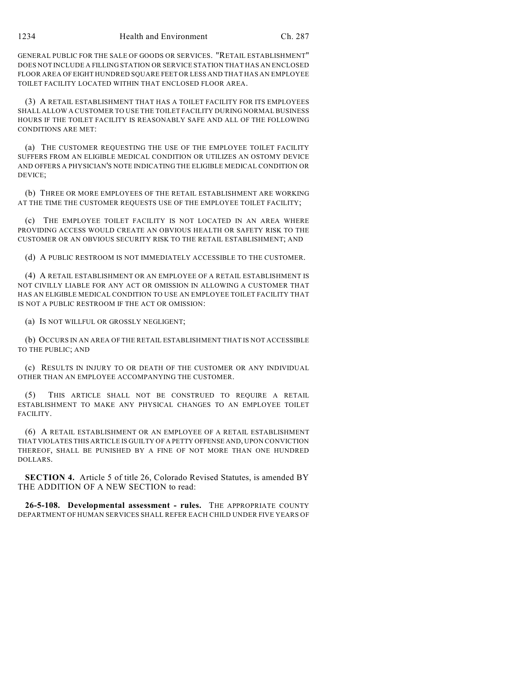GENERAL PUBLIC FOR THE SALE OF GOODS OR SERVICES. "RETAIL ESTABLISHMENT" DOES NOT INCLUDE A FILLING STATION OR SERVICE STATION THAT HAS AN ENCLOSED FLOOR AREA OF EIGHT HUNDRED SQUARE FEET OR LESS AND THAT HAS AN EMPLOYEE TOILET FACILITY LOCATED WITHIN THAT ENCLOSED FLOOR AREA.

(3) A RETAIL ESTABLISHMENT THAT HAS A TOILET FACILITY FOR ITS EMPLOYEES SHALL ALLOW A CUSTOMER TO USE THE TOILET FACILITY DURING NORMAL BUSINESS HOURS IF THE TOILET FACILITY IS REASONABLY SAFE AND ALL OF THE FOLLOWING CONDITIONS ARE MET:

(a) THE CUSTOMER REQUESTING THE USE OF THE EMPLOYEE TOILET FACILITY SUFFERS FROM AN ELIGIBLE MEDICAL CONDITION OR UTILIZES AN OSTOMY DEVICE AND OFFERS A PHYSICIAN'S NOTE INDICATING THE ELIGIBLE MEDICAL CONDITION OR DEVICE;

(b) THREE OR MORE EMPLOYEES OF THE RETAIL ESTABLISHMENT ARE WORKING AT THE TIME THE CUSTOMER REQUESTS USE OF THE EMPLOYEE TOILET FACILITY;

(c) THE EMPLOYEE TOILET FACILITY IS NOT LOCATED IN AN AREA WHERE PROVIDING ACCESS WOULD CREATE AN OBVIOUS HEALTH OR SAFETY RISK TO THE CUSTOMER OR AN OBVIOUS SECURITY RISK TO THE RETAIL ESTABLISHMENT; AND

(d) A PUBLIC RESTROOM IS NOT IMMEDIATELY ACCESSIBLE TO THE CUSTOMER.

(4) A RETAIL ESTABLISHMENT OR AN EMPLOYEE OF A RETAIL ESTABLISHMENT IS NOT CIVILLY LIABLE FOR ANY ACT OR OMISSION IN ALLOWING A CUSTOMER THAT HAS AN ELIGIBLE MEDICAL CONDITION TO USE AN EMPLOYEE TOILET FACILITY THAT IS NOT A PUBLIC RESTROOM IF THE ACT OR OMISSION:

(a) IS NOT WILLFUL OR GROSSLY NEGLIGENT;

(b) OCCURS IN AN AREA OF THE RETAIL ESTABLISHMENT THAT IS NOT ACCESSIBLE TO THE PUBLIC; AND

(c) RESULTS IN INJURY TO OR DEATH OF THE CUSTOMER OR ANY INDIVIDUAL OTHER THAN AN EMPLOYEE ACCOMPANYING THE CUSTOMER.

(5) THIS ARTICLE SHALL NOT BE CONSTRUED TO REQUIRE A RETAIL ESTABLISHMENT TO MAKE ANY PHYSICAL CHANGES TO AN EMPLOYEE TOILET FACILITY.

(6) A RETAIL ESTABLISHMENT OR AN EMPLOYEE OF A RETAIL ESTABLISHMENT THAT VIOLATES THIS ARTICLE IS GUILTY OF A PETTY OFFENSE AND, UPON CONVICTION THEREOF, SHALL BE PUNISHED BY A FINE OF NOT MORE THAN ONE HUNDRED DOLLARS.

**SECTION 4.** Article 5 of title 26, Colorado Revised Statutes, is amended BY THE ADDITION OF A NEW SECTION to read:

**26-5-108. Developmental assessment - rules.** THE APPROPRIATE COUNTY DEPARTMENT OF HUMAN SERVICES SHALL REFER EACH CHILD UNDER FIVE YEARS OF